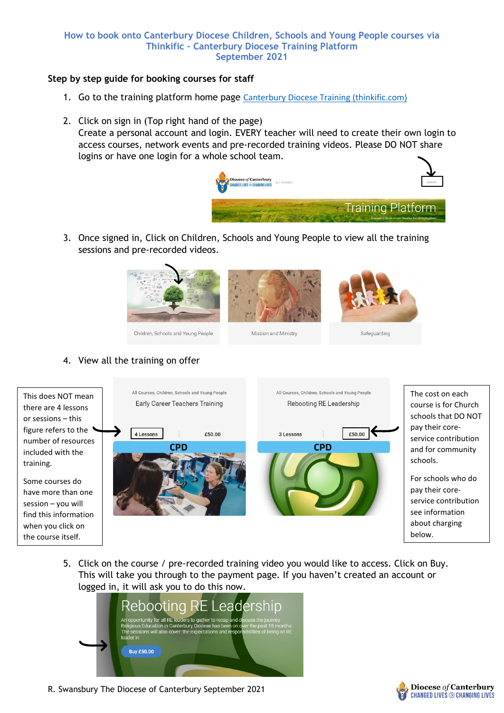## **How to book onto Canterbury Diocese Children, Schools and Young People courses via Thinkific – Canterbury Diocese Training Platform September 2021**

## **Step by step guide for booking courses for staff**

- 1. Go to the training platform home page [Canterbury Diocese Training \(thinkific.com\)](https://canterburydiocese-training.thinkific.com/)
- 2. Click on sign in (Top right hand of the page) Create a personal account and login. EVERY teacher will need to create their own login to access courses, network events and pre-recorded training videos. Please DO NOT share logins or have one login for a whole school team.



3. Once signed in, Click on Children, Schools and Young People to view all the training sessions and pre-recorded videos.



## Children, Schools and Young People

Mission and Ministry

Safeguarding

## 4. View all the training on offer



5. Click on the course / pre-recorded training video you would like to access. Click on Buy. This will take you through to the payment page. If you haven't created an account or logged in, it will ask you to do this now.



R. Swansbury The Diocese of Canterbury September 2021

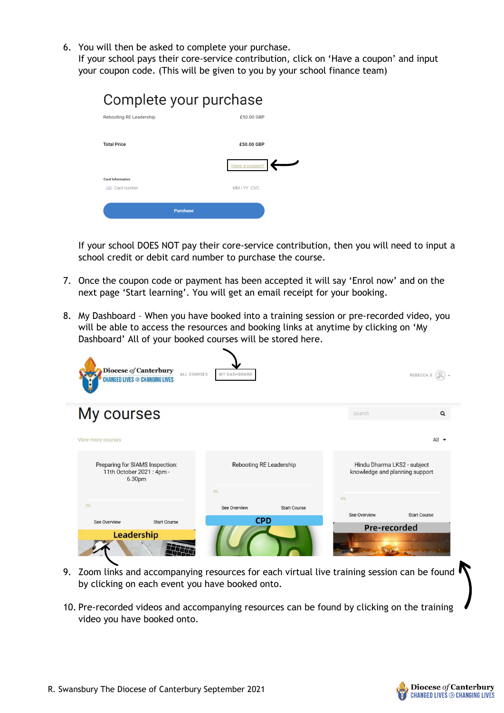- 6. You will then be asked to complete your purchase.
- If your school pays their core-service contribution, click on 'Have a coupon' and input your coupon code. (This will be given to you by your school finance team)

| Complete your purchase  |                 |  |  |  |
|-------------------------|-----------------|--|--|--|
| Rebooting RE Leadership | £50.00 GBP      |  |  |  |
|                         |                 |  |  |  |
| <b>Total Price</b>      | £50.00 GBP      |  |  |  |
|                         | Have a coupon?  |  |  |  |
| <b>Card Information</b> |                 |  |  |  |
| Card number             | MM/YY CVC       |  |  |  |
|                         | <b>Purchase</b> |  |  |  |

If your school DOES NOT pay their core-service contribution, then you will need to input a school credit or debit card number to purchase the course.

- 7. Once the coupon code or payment has been accepted it will say 'Enrol now' and on the next page 'Start learning'. You will get an email receipt for your booking.
- 8. My Dashboard When you have booked into a training session or pre-recorded video, you will be able to access the resources and booking links at anytime by clicking on 'My Dashboard' All of your booked courses will be stored here.

| Diocese of Canterbury<br>ALL COURSES<br><b>CHANGED LIVES ⊕ CHANGING LIVES</b> | MY DASHBOARD                               |                                                               | REBECCA S (O        |
|-------------------------------------------------------------------------------|--------------------------------------------|---------------------------------------------------------------|---------------------|
| My courses                                                                    |                                            | Search                                                        | $\Omega$            |
| View more courses                                                             |                                            |                                                               | $All -$             |
| Preparing for SIAMS Inspection:<br>11th October 2021 : 4pm -<br>6.30pm        | <b>Rebooting RE Leadership</b>             | Hindu Dharma LKS2 - subject<br>knowledge and planning support |                     |
|                                                                               | 0%                                         | 0%                                                            |                     |
| 0%                                                                            | <b>See Overview</b><br><b>Start Course</b> | <b>See Overview</b>                                           | <b>Start Course</b> |
| <b>See Overview</b><br><b>Start Course</b>                                    | <b>CPD</b><br>Pre-recorded                 |                                                               |                     |
| Leadership                                                                    |                                            |                                                               |                     |

- 9. Zoom links and accompanying resources for each virtual live training session can be found by clicking on each event you have booked onto.
- 10. Pre-recorded videos and accompanying resources can be found by clicking on the training video you have booked onto.